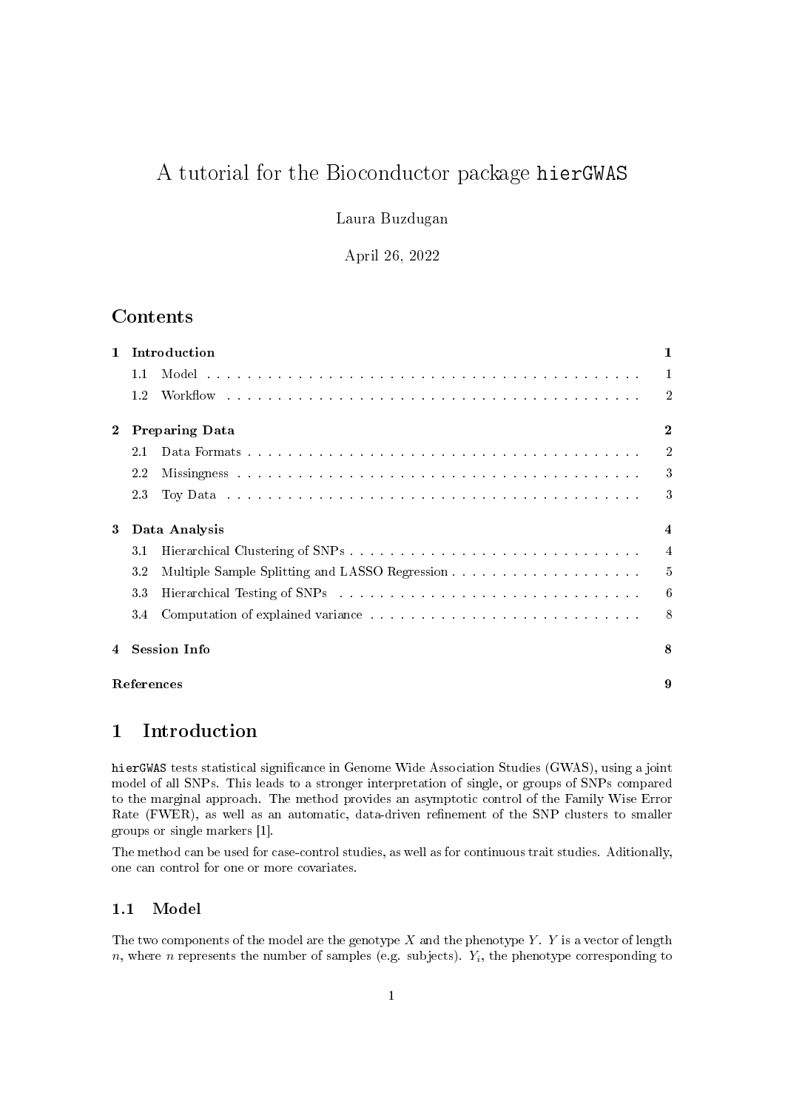# A tutorial for the Bioconductor package hierGWAS

Laura Buzdugan

April 26, 2022

# Contents

| $\mathbf{1}$   |                       | Introduction                                                                                                                                                                                                                   |                |  |  |  |  |  |  |  |  |
|----------------|-----------------------|--------------------------------------------------------------------------------------------------------------------------------------------------------------------------------------------------------------------------------|----------------|--|--|--|--|--|--|--|--|
|                | 1.1                   |                                                                                                                                                                                                                                | $\mathbf{1}$   |  |  |  |  |  |  |  |  |
|                | 1.2                   |                                                                                                                                                                                                                                | $\overline{2}$ |  |  |  |  |  |  |  |  |
|                | <b>Preparing Data</b> | $\mathbf{2}$                                                                                                                                                                                                                   |                |  |  |  |  |  |  |  |  |
|                | 2.1                   |                                                                                                                                                                                                                                | $\overline{2}$ |  |  |  |  |  |  |  |  |
|                | $2.2\,$               |                                                                                                                                                                                                                                | 3              |  |  |  |  |  |  |  |  |
|                | 23                    | Toy Data reconomic resources in the contract of the contract of the contract of the contract of the contract of the contract of the contract of the contract of the contract of the contract of the contract of the contract o | 3              |  |  |  |  |  |  |  |  |
| 3              |                       | Data Analysis                                                                                                                                                                                                                  |                |  |  |  |  |  |  |  |  |
|                | 3.1                   |                                                                                                                                                                                                                                |                |  |  |  |  |  |  |  |  |
|                | 3.2                   |                                                                                                                                                                                                                                |                |  |  |  |  |  |  |  |  |
|                | 3.3                   |                                                                                                                                                                                                                                | 6              |  |  |  |  |  |  |  |  |
|                | 3.4                   |                                                                                                                                                                                                                                | 8              |  |  |  |  |  |  |  |  |
| $\overline{4}$ | <b>Session Info</b>   |                                                                                                                                                                                                                                |                |  |  |  |  |  |  |  |  |
|                | References            |                                                                                                                                                                                                                                |                |  |  |  |  |  |  |  |  |

### 1 Introduction

hierGWAS tests statistical signicance in Genome Wide Association Studies (GWAS), using a joint model of all SNPs. This leads to a stronger interpretation of single, or groups of SNPs compared to the marginal approach. The method provides an asymptotic control of the Family Wise Error Rate (FWER), as well as an automatic, data-driven refinement of the SNP clusters to smaller groups or single markers [1].

The method can be used for case-control studies, as well as for continuous trait studies. Aditionally, one can control for one or more covariates.

### 1.1 Model

The two components of the model are the genotype  $X$  and the phenotype  $Y$ .  $Y$  is a vector of length  $n$ , where  $n$  represents the number of samples (e.g. subjects).  $Y_i$ , the phenotype corresponding to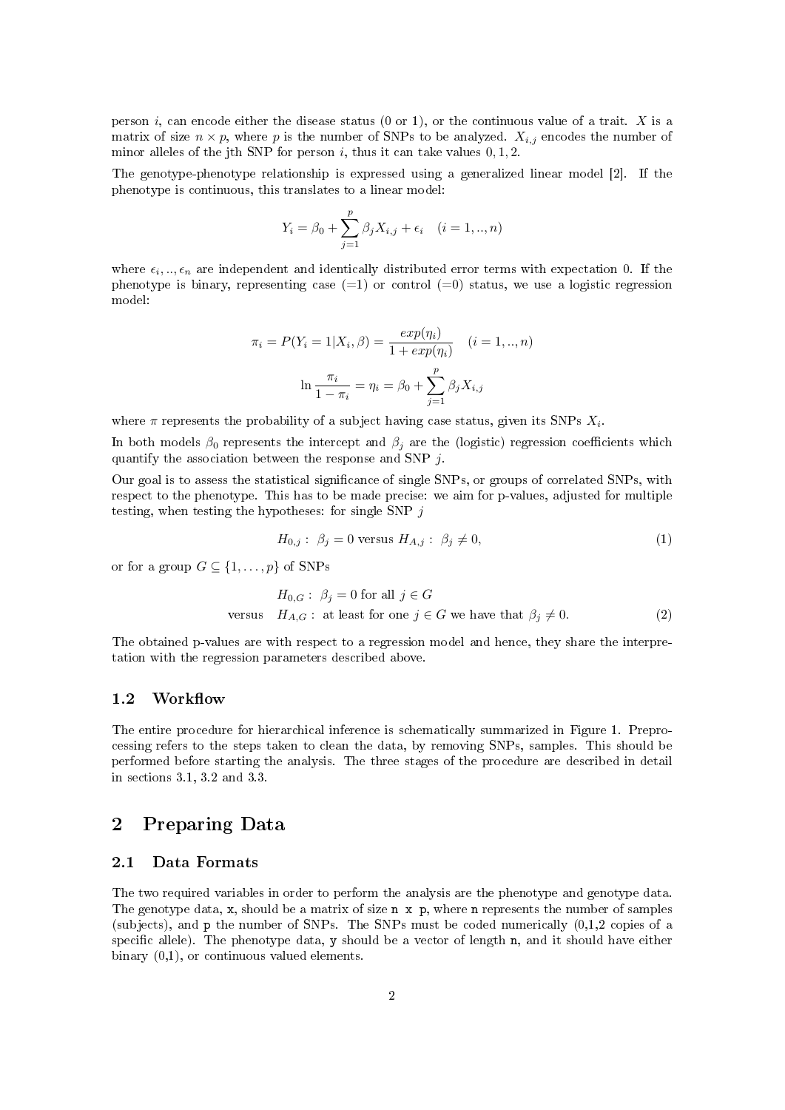person i, can encode either the disease status  $(0 \text{ or } 1)$ , or the continuous value of a trait. X is a matrix of size  $n \times p$ , where p is the number of SNPs to be analyzed.  $X_{i,j}$  encodes the number of minor alleles of the jth SNP for person  $i$ , thus it can take values  $0, 1, 2$ .

The genotype-phenotype relationship is expressed using a generalized linear model [2]. If the phenotype is continuous, this translates to a linear model:

$$
Y_i = \beta_0 + \sum_{j=1}^p \beta_j X_{i,j} + \epsilon_i \quad (i = 1, ..., n)
$$

where  $\epsilon_i, \ldots, \epsilon_n$  are independent and identically distributed error terms with expectation 0. If the phenotype is binary, representing case  $(=1)$  or control  $(=0)$  status, we use a logistic regression model:

$$
\pi_i = P(Y_i = 1 | X_i, \beta) = \frac{exp(\eta_i)}{1 + exp(\eta_i)} \quad (i = 1, ..., n)
$$

$$
\ln \frac{\pi_i}{1 - \pi_i} = \eta_i = \beta_0 + \sum_{j=1}^p \beta_j X_{i,j}
$$

where  $\pi$  represents the probability of a subject having case status, given its SNPs  $X_i$ .

In both models  $\beta_0$  represents the intercept and  $\beta_i$  are the (logistic) regression coefficients which quantify the association between the response and SNP j.

Our goal is to assess the statistical signicance of single SNPs, or groups of correlated SNPs, with respect to the phenotype. This has to be made precise: we aim for p-values, adjusted for multiple testing, when testing the hypotheses: for single SNP  $j$ 

$$
H_{0,j}: \ \beta_j = 0 \text{ versus } H_{A,j}: \ \beta_j \neq 0,
$$
\n
$$
(1)
$$

or for a group  $G \subseteq \{1, \ldots, p\}$  of SNPs

$$
H_{0,G}: \beta_j = 0 \text{ for all } j \in G
$$
  
versus  $H_{A,G}: \text{ at least for one } j \in G \text{ we have that } \beta_j \neq 0.$  (2)

The obtained p-values are with respect to a regression model and hence, they share the interpretation with the regression parameters described above.

#### 1.2 Workflow

The entire procedure for hierarchical inference is schematically summarized in Figure 1. Preprocessing refers to the steps taken to clean the data, by removing SNPs, samples. This should be performed before starting the analysis. The three stages of the procedure are described in detail in sections 3.1, 3.2 and 3.3.

### 2 Preparing Data

### 2.1 Data Formats

The two required variables in order to perform the analysis are the phenotype and genotype data. The genotype data, x, should be a matrix of size n x p, where n represents the number of samples (subjects), and p the number of SNPs. The SNPs must be coded numerically (0,1,2 copies of a specific allele). The phenotype data, y should be a vector of length n, and it should have either binary (0,1), or continuous valued elements.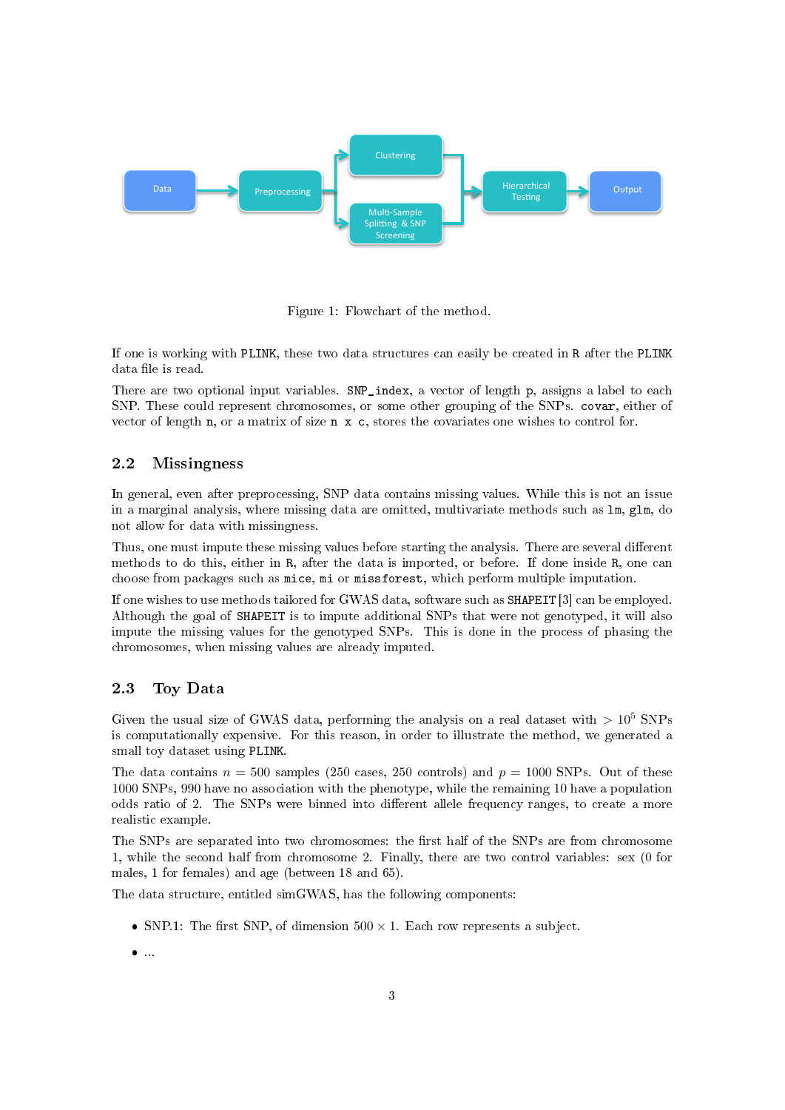

Figure 1: Flowchart of the method.

If one is working with PLINK, these two data structures can easily be created in R after the PLINK data file is read.

There are two optional input variables. SNP\_index, a vector of length p, assigns a label to each SNP. These could represent chromosomes, or some other grouping of the SNPs. covar, either of vector of length n, or a matrix of size n x c, stores the covariates one wishes to control for.

#### 2.2 Missingness

In general, even after preprocessing, SNP data contains missing values. While this is not an issue in a marginal analysis, where missing data are omitted, multivariate methods such as lm, glm, do not allow for data with missingness.

Thus, one must impute these missing values before starting the analysis. There are several different methods to do this, either in R, after the data is imported, or before. If done inside R, one can choose from packages such as mice, mi or missforest, which perform multiple imputation.

If one wishes to use methods tailored for GWAS data, software such as SHAPEIT [3] can be employed. Although the goal of SHAPEIT is to impute additional SNPs that were not genotyped, it will also impute the missing values for the genotyped SNPs. This is done in the process of phasing the chromosomes, when missing values are already imputed.

#### 2.3 Toy Data

Given the usual size of GWAS data, performing the analysis on a real dataset with  $> 10^5$  SNPs is computationally expensive. For this reason, in order to illustrate the method, we generated a small toy dataset using PLINK.

The data contains  $n = 500$  samples (250 cases, 250 controls) and  $p = 1000$  SNPs. Out of these 1000 SNPs, 990 have no association with the phenotype, while the remaining 10 have a population odds ratio of 2. The SNPs were binned into different allele frequency ranges, to create a more realistic example.

The SNPs are separated into two chromosomes: the first half of the SNPs are from chromosome 1, while the second half from chromosome 2. Finally, there are two control variables: sex (0 for males, 1 for females) and age (between 18 and 65).

The data structure, entitled simGWAS, has the following components:

- SNP.1: The first SNP, of dimension  $500 \times 1$ . Each row represents a subject.
- ...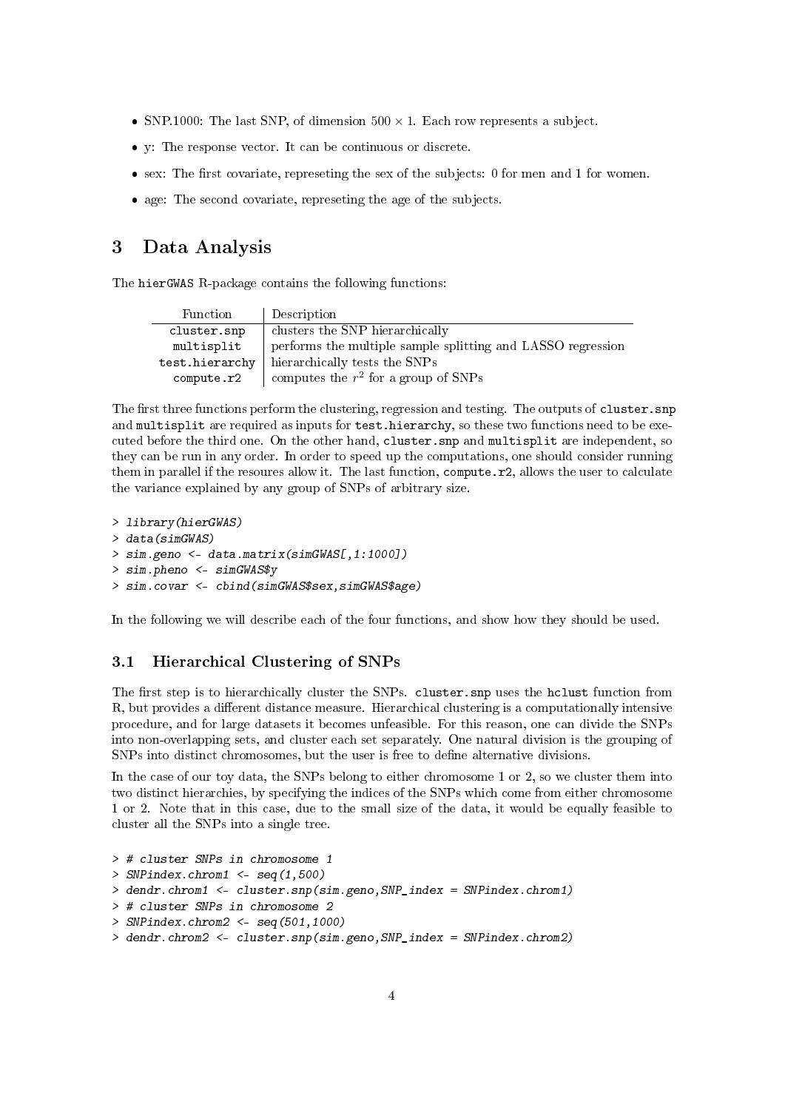- SNP.1000: The last SNP, of dimension  $500 \times 1$ . Each row represents a subject.
- y: The response vector. It can be continuous or discrete.
- $\bullet$  sex: The first covariate, represeting the sex of the subjects: 0 for men and 1 for women.
- age: The second covariate, represeting the age of the subjects.

### 3 Data Analysis

The hierGWAS R-package contains the following functions:

| Function       | Description                                                 |
|----------------|-------------------------------------------------------------|
| cluster.snp    | clusters the SNP hierarchically                             |
| multisplit     | performs the multiple sample splitting and LASSO regression |
| test.hierarchy | hierarchically tests the SNPs                               |
| compute.r2     | computes the $r^2$ for a group of SNPs                      |

The first three functions perform the clustering, regression and testing. The outputs of cluster.snp and multisplit are required as inputs for test.hierarchy, so these two functions need to be executed before the third one. On the other hand, cluster.snp and multisplit are independent, so they can be run in any order. In order to speed up the computations, one should consider running them in parallel if the resoures allow it. The last function, compute.r2, allows the user to calculate the variance explained by any group of SNPs of arbitrary size.

```
> library(hierGWAS)
> data(simGWAS)
> sim.geno <- data.matrix(simGWAS[,1:1000])
> sim.pheno <- simGWAS$y
> sim.covar <- cbind(simGWAS$sex,simGWAS$age)
```
In the following we will describe each of the four functions, and show how they should be used.

### 3.1 Hierarchical Clustering of SNPs

The first step is to hierarchically cluster the SNPs. cluster.snp uses the hclust function from R, but provides a different distance measure. Hierarchical clustering is a computationally intensive procedure, and for large datasets it becomes unfeasible. For this reason, one can divide the SNPs into non-overlapping sets, and cluster each set separately. One natural division is the grouping of SNPs into distinct chromosomes, but the user is free to define alternative divisions.

In the case of our toy data, the SNPs belong to either chromosome 1 or 2, so we cluster them into two distinct hierarchies, by specifying the indices of the SNPs which come from either chromosome 1 or 2. Note that in this case, due to the small size of the data, it would be equally feasible to cluster all the SNPs into a single tree.

```
> # cluster SNPs in chromosome 1
> SNPindex.chrom1 <- seq(1,500)> dendr.chrom1 <- cluster.snp(sim.geno,SNP_index = SNPindex.chrom1)
> # cluster SNPs in chromosome 2
> SNPindex.chrom2 <- seq(501,1000)
> dendr.chrom2 <- cluster.snp(sim.geno,SNP_index = SNPindex.chrom2)
```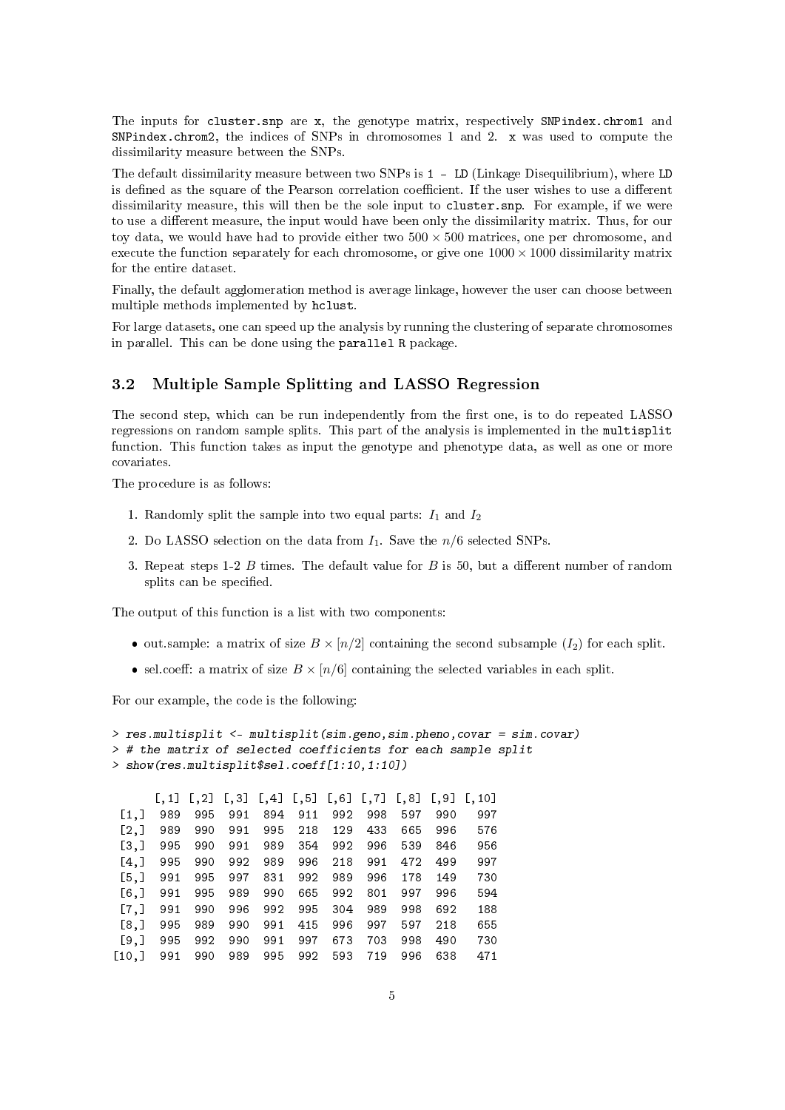The inputs for cluster. snp are x, the genotype matrix, respectively SNPindex. chrom1 and SNPindex.chrom2, the indices of SNPs in chromosomes 1 and 2. x was used to compute the dissimilarity measure between the SNPs.

The default dissimilarity measure between two SNPs is 1 - LD (Linkage Disequilibrium), where LD is defined as the square of the Pearson correlation coefficient. If the user wishes to use a different dissimilarity measure, this will then be the sole input to cluster.snp. For example, if we were to use a different measure, the input would have been only the dissimilarity matrix. Thus, for our toy data, we would have had to provide either two  $500 \times 500$  matrices, one per chromosome, and execute the function separately for each chromosome, or give one  $1000 \times 1000$  dissimilarity matrix for the entire dataset.

Finally, the default agglomeration method is average linkage, however the user can choose between multiple methods implemented by hclust.

For large datasets, one can speed up the analysis by running the clustering of separate chromosomes in parallel. This can be done using the parallel R package.

#### 3.2 Multiple Sample Splitting and LASSO Regression

The second step, which can be run independently from the first one, is to do repeated LASSO regressions on random sample splits. This part of the analysis is implemented in the multisplit function. This function takes as input the genotype and phenotype data, as well as one or more covariates.

The procedure is as follows:

- 1. Randomly split the sample into two equal parts:  $I_1$  and  $I_2$
- 2. Do LASSO selection on the data from  $I_1$ . Save the  $n/6$  selected SNPs.
- 3. Repeat steps 1-2  $B$  times. The default value for  $B$  is 50, but a different number of random splits can be specified.

The output of this function is a list with two components:

- out.sample: a matrix of size  $B \times [n/2]$  containing the second subsample  $(I_2)$  for each split.
- sel.coeff: a matrix of size  $B \times [n/6]$  containing the selected variables in each split.

For our example, the code is the following:

```
> res.multisplit <- multisplit(sim.geno,sim.pheno,covar = sim.covar)
> # the matrix of selected coefficients for each sample split
> show(res.multisplit$sel.coeff[1:10,1:10])
```

|                      | $[\, ,1]$ | $[ \cdot , 2]$ | [,3] | $[0, 4]$ $[0, 5]$ $[0, 6]$ $[0, 7]$ |     |     |     |     |     | $[,8]$ $[,9]$ $[,10]$ |
|----------------------|-----------|----------------|------|-------------------------------------|-----|-----|-----|-----|-----|-----------------------|
| $\left[1, \right]$   | 989       | 995            | 991  | 894                                 | 911 | 992 | 998 | 597 | 990 | 997                   |
| $\left[2, \right]$   | 989       | 990            | 991  | 995                                 | 218 | 129 | 433 | 665 | 996 | 576                   |
| $\left[3, \right]$   | 995       | 990            | 991  | 989                                 | 354 | 992 | 996 | 539 | 846 | 956                   |
| [4,]                 | 995       | 990            | 992  | 989                                 | 996 | 218 | 991 | 472 | 499 | 997                   |
| $\left[5, \right]$   | 991       | 995            | 997  | 831                                 | 992 | 989 | 996 | 178 | 149 | 730                   |
| [6, 1]               | 991       | 995            | 989  | 990                                 | 665 | 992 | 801 | 997 | 996 | 594                   |
| $\left[7, 1\right]$  | 991       | 990            | 996  | 992                                 | 995 | 304 | 989 | 998 | 692 | 188                   |
| [8,]                 | 995       | 989            | 990  | 991                                 | 415 | 996 | 997 | 597 | 218 | 655                   |
| [9.1]                | 995       | 992            | 990  | 991                                 | 997 | 673 | 703 | 998 | 490 | 730                   |
| $\lceil 10.1 \rceil$ | 991       | 990            | 989  | 995                                 | 992 | 593 | 719 | 996 | 638 | 471                   |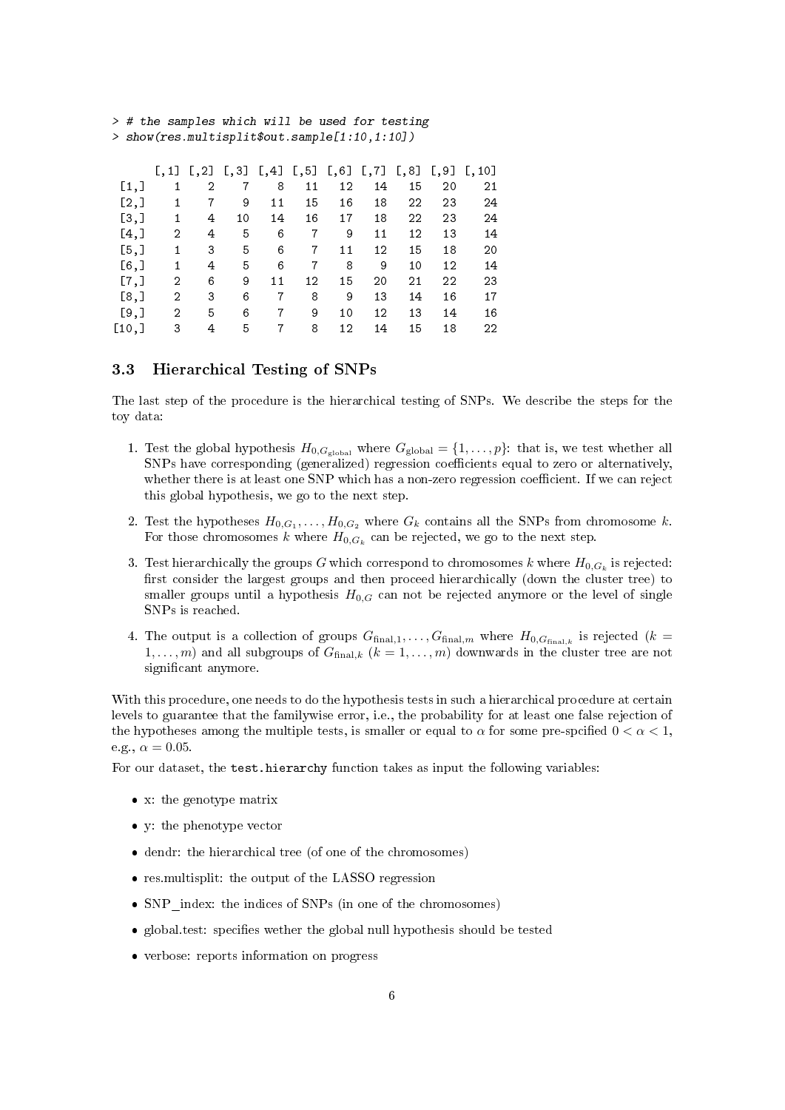| $\lfloor .1 \rfloor$ |   |    | $\left[1, 4\right]$ |               |    |                         | [,8]          | [0, 9] | [0, 10] |
|----------------------|---|----|---------------------|---------------|----|-------------------------|---------------|--------|---------|
| 1                    | 2 |    | 8                   | 11            | 12 | 14                      | 15            | 20     | 21      |
| 1                    |   | 9  | 11                  | 15            | 16 | 18                      | 22            | 23     | 24      |
| $\mathbf{1}$         | 4 | 10 | 14                  | 16            | 17 | 18                      | 22            | 23     | 24      |
| 2                    | 4 | 5  | 6                   | 7             | 9  | 11                      | 12            | 13     | 14      |
| 1                    | 3 | 5  | 6                   | 7             | 11 | 12                      | 15            | 18     | 20      |
| 1                    | 4 | 5  | 6                   | 7             | 8  | 9                       | 10            | 12     | 14      |
| 2                    | 6 | 9  | 11                  | 12            | 15 | 20                      | 21            | 22     | 23      |
| 2                    | 3 | 6  | 7                   | 8             | 9  | 13                      | 14            | 16     | 17      |
| 2                    | 5 | 6  |                     | 9             | 10 | 12                      | 13            | 14     | 16      |
| 3                    | 4 | 5  |                     | 8             | 12 | 14                      | 15            | 18     | 22      |
|                      |   |    |                     | $[,2]$ $[,3]$ |    | $\left[ \, , 5 \right]$ | $[,6]$ $[,7]$ |        |         |

> # the samples which will be used for testing > show(res.multisplit\$out.sample[1:10,1:10])

# 3.3 Hierarchical Testing of SNPs

The last step of the procedure is the hierarchical testing of SNPs. We describe the steps for the toy data:

- 1. Test the global hypothesis  $H_{0,G_{\text{global}}}$  where  $G_{\text{global}} = \{1,\ldots,p\}$ : that is, we test whether all SNPs have corresponding (generalized) regression coefficients equal to zero or alternatively, whether there is at least one SNP which has a non-zero regression coefficient. If we can reject this global hypothesis, we go to the next step.
- 2. Test the hypotheses  $H_{0,G_1}, \ldots, H_{0,G_2}$  where  $G_k$  contains all the SNPs from chromosome k. For those chromosomes  $k$  where  $H_{0,G_k}$  can be rejected, we go to the next step.
- 3. Test hierarchically the groups  $G$  which correspond to chromosomes  $k$  where  $H_{0, G_{k}}$  is rejected: first consider the largest groups and then proceed hierarchically (down the cluster tree) to smaller groups until a hypothesis  $H_{0,G}$  can not be rejected anymore or the level of single SNPs is reached.
- 4. The output is a collection of groups  $G_{final,1}, \ldots, G_{final,m}$  where  $H_{0,G_{final,k}}$  is rejected  $(k =$  $1, \ldots, m$ ) and all subgroups of  $G_{\text{final},k}$   $(k = 1, \ldots, m)$  downwards in the cluster tree are not significant anymore.

With this procedure, one needs to do the hypothesis tests in such a hierarchical procedure at certain levels to guarantee that the familywise error, i.e., the probability for at least one false rejection of the hypotheses among the multiple tests, is smaller or equal to  $\alpha$  for some pre-spcified  $0 < \alpha < 1$ , e.g.,  $\alpha = 0.05$ .

For our dataset, the test.hierarchy function takes as input the following variables:

- x: the genotype matrix
- y: the phenotype vector
- dendr: the hierarchical tree (of one of the chromosomes)
- res.multisplit: the output of the LASSO regression
- SNP\_index: the indices of SNPs (in one of the chromosomes)
- $\bullet$  global.test: specifies wether the global null hypothesis should be tested
- verbose: reports information on progress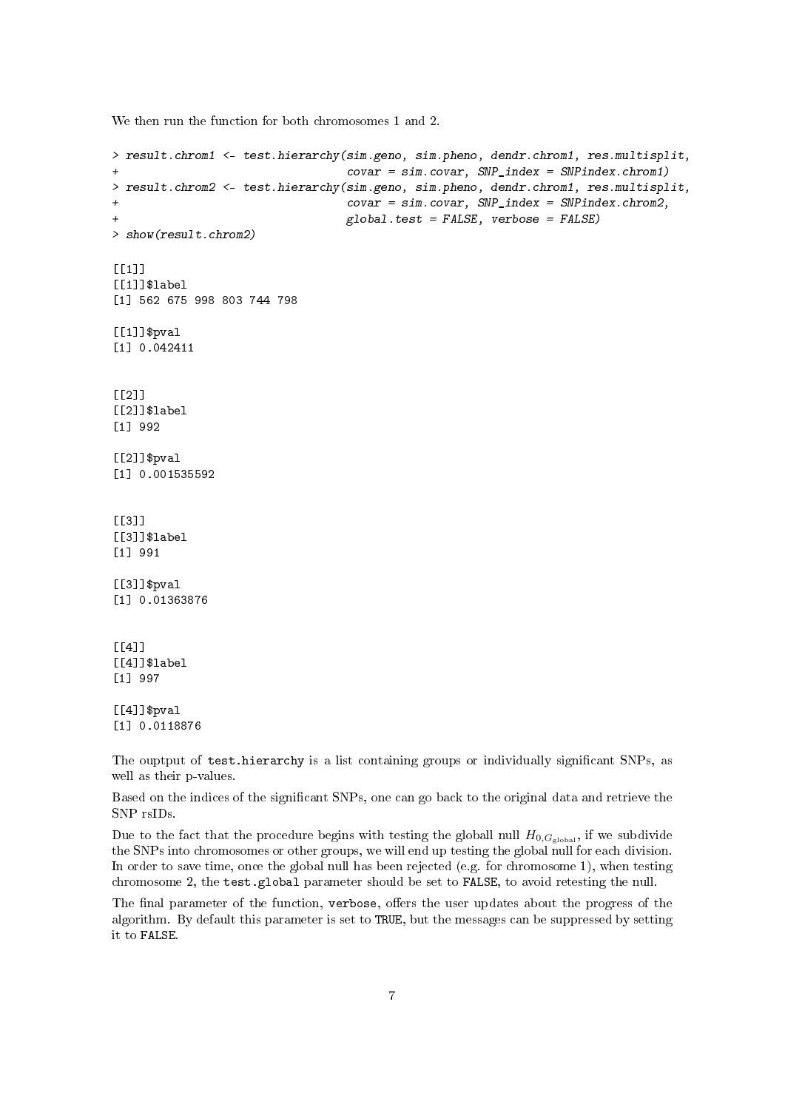We then run the function for both chromosomes 1 and 2.

```
> result.chrom1 <- test.hierarchy(sim.geno, sim.pheno, dendr.chrom1, res.multisplit,
+ covar = sim.covar, SNP_index = SNPindex.chrom1)
> result.chrom2 <- test.hierarchy(sim.geno, sim.pheno, dendr.chrom1, res.multisplit,
+ covar = sim.covar, SNP_index = SNPindex.chrom2,
+ global.test = FALSE, verbose = FALSE)
> show(result.chrom2)
[[1]]
[[1]]$label
[1] 562 675 998 803 744 798
[[1]]$pval
[1] 0.042411
[[2]]
[[2]]$label
[1] 992
[2]]$pval[1] 0.001535592
[[3]]
[[3]]$label
[1] 991
[[3]]$pval
[1] 0.01363876
[[4]]
[[4]]$label
[1] 997
[1] $pval[1] 0.0118876
```
The ouptput of test.hierarchy is a list containing groups or individually signicant SNPs, as well as their p-values.

Based on the indices of the signicant SNPs, one can go back to the original data and retrieve the SNP rsIDs.

Due to the fact that the procedure begins with testing the globall null  $H_{0,G_{\text{global}}}$ , if we subdivide the SNPs into chromosomes or other groups, we will end up testing the global null for each division. In order to save time, once the global null has been rejected (e.g. for chromosome 1), when testing chromosome 2, the test.global parameter should be set to FALSE, to avoid retesting the null.

The final parameter of the function, verbose, offers the user updates about the progress of the algorithm. By default this parameter is set to TRUE, but the messages can be suppressed by setting it to FALSE.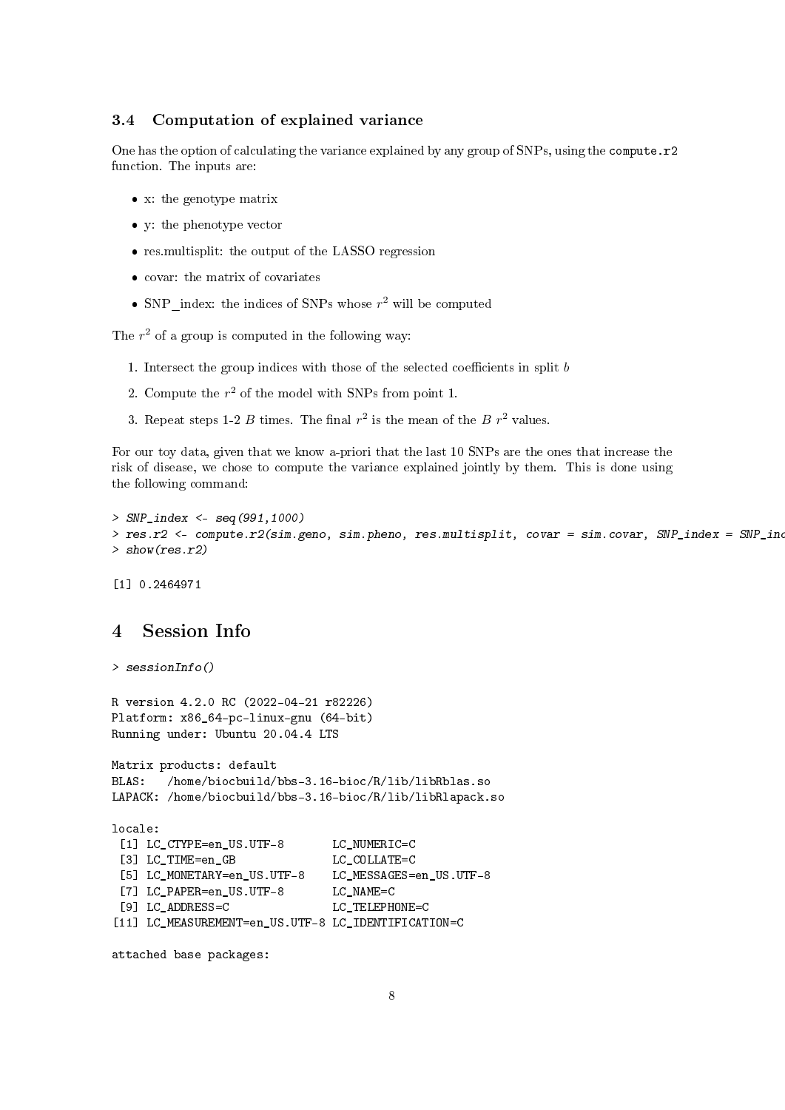#### 3.4 Computation of explained variance

One has the option of calculating the variance explained by any group of SNPs, using the compute.r2 function. The inputs are:

- x: the genotype matrix
- y: the phenotype vector
- res.multisplit: the output of the LASSO regression
- covar: the matrix of covariates
- SNP index: the indices of SNPs whose  $r^2$  will be computed

The  $r^2$  of a group is computed in the following way:

- 1. Intersect the group indices with those of the selected coefficients in split  $b$
- 2. Compute the  $r^2$  of the model with SNPs from point 1.
- 3. Repeat steps 1-2 B times. The final  $r^2$  is the mean of the B  $r^2$  values.

For our toy data, given that we know a-priori that the last 10 SNPs are the ones that increase the risk of disease, we chose to compute the variance explained jointly by them. This is done using the following command:

```
> SNP index <- seq(991,1000)
> res.r2 <- compute.r2(sim.geno, sim.pheno, res.multisplit, covar = sim.covar, SNP_index = SNP_ind
> show(res.r2)
```
[1] 0.2464971

# 4 Session Info

```
> sessionInfo()
```
R version 4.2.0 RC (2022-04-21 r82226) Platform: x86\_64-pc-linux-gnu (64-bit) Running under: Ubuntu 20.04.4 LTS

```
Matrix products: default
BLAS: /home/biocbuild/bbs-3.16-bioc/R/lib/libRblas.so
LAPACK: /home/biocbuild/bbs-3.16-bioc/R/lib/libRlapack.so
```

```
locale:
```

```
[1] LC_CTYPE=en_US.UTF-8 LC_NUMERIC=C
[3] LC TIME=en GB LC COLLATE=C
[5] LC_MONETARY=en_US.UTF-8 LC_MESSAGES=en_US.UTF-8
[7] LC PAPER=en US.UTF-8 LC NAME=C
[9] LC ADDRESS=C LC TELEPHONE=C
[11] LC_MEASUREMENT=en_US.UTF-8 LC_IDENTIFICATION=C
```
attached base packages: